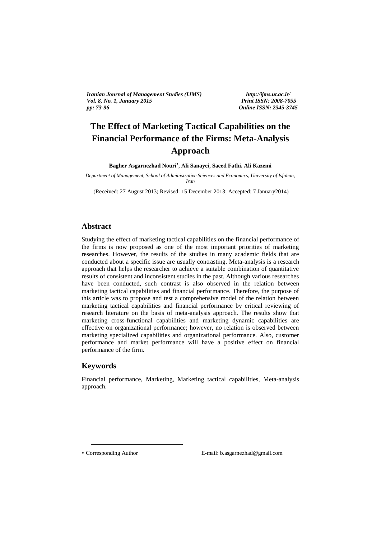*Iranian Journal of Management Studies (IJMS) http://ijms.ut.ac.ir/ Vol. 8, No. 1, January 2015 pp: 73-96 Online ISSN: 2345-3745*

# **The Effect of Marketing Tactical Capabilities on the Financial Performance of the Firms: Meta-Analysis**   **Approach** Online ISSN 2345-3745

**Bagher Asgarnezhad Nouri , Ali Sanayei, Saeed Fathi, Ali Kazemi**

*Department of Management, School of Administrative Sciences and Economics, University of Isfahan, Iran*

(Received: 27 August 2013; Revised: 15 December 2013; Accepted: 7 January2014)

## **Abstract**

Studying the effect of marketing tactical capabilities on the financial performance of the firms is now proposed as one of the most important priorities of marketing researches. However, the results of the studies in many academic fields that are conducted about a specific issue are usually contrasting. Meta-analysis is a research approach that helps the researcher to achieve a suitable combination of quantitative results of consistent and inconsistent studies in the past. Although various researches have been conducted, such contrast is also observed in the relation between marketing tactical capabilities and financial performance. Therefore, the purpose of this article was to propose and test a comprehensive model of the relation between marketing tactical capabilities and financial performance by critical reviewing of research literature on the basis of meta-analysis approach. The results show that marketing cross-functional capabilities and marketing dynamic capabilities are effective on organizational performance; however, no relation is observed between marketing specialized capabilities and organizational performance. Also, customer performance and market performance will have a positive effect on financial performance of the firm.

## **Keywords**

Financial performance, Marketing, Marketing tactical capabilities, Meta-analysis approach.

1

Corresponding Author E-mail: b.asgarnezhad@gmail.com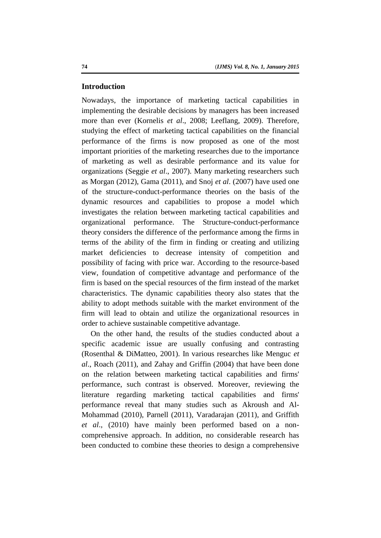### **Introduction**

Nowadays, the importance of marketing tactical capabilities in implementing the desirable decisions by managers has been increased more than ever (Kornelis *et al*., 2008; Leeflang, 2009). Therefore, studying the effect of marketing tactical capabilities on the financial performance of the firms is now proposed as one of the most important priorities of the marketing researches due to the importance of marketing as well as desirable performance and its value for organizations (Seggie *et al*., 2007). Many marketing researchers such as Morgan (2012), Gama (2011), and Snoj *et al*. (2007) have used one of the structure-conduct-performance theories on the basis of the dynamic resources and capabilities to propose a model which investigates the relation between marketing tactical capabilities and organizational performance. The Structure-conduct-performance theory considers the difference of the performance among the firms in terms of the ability of the firm in finding or creating and utilizing market deficiencies to decrease intensity of competition and possibility of facing with price war. According to the resource-based view, foundation of competitive advantage and performance of the firm is based on the special resources of the firm instead of the market characteristics. The dynamic capabilities theory also states that the ability to adopt methods suitable with the market environment of the firm will lead to obtain and utilize the organizational resources in order to achieve sustainable competitive advantage.

On the other hand, the results of the studies conducted about a specific academic issue are usually confusing and contrasting (Rosenthal & DiMatteo, 2001). In various researches like Menguc *et al*., Roach (2011), and Zahay and Griffin (2004) that have been done on the relation between marketing tactical capabilities and firms' performance, such contrast is observed. Moreover, reviewing the literature regarding marketing tactical capabilities and firms' performance reveal that many studies such as Akroush and Al-Mohammad (2010), Parnell (2011), Varadarajan (2011), and Griffith *et al*., (2010) have mainly been performed based on a noncomprehensive approach. In addition, no considerable research has been conducted to combine these theories to design a comprehensive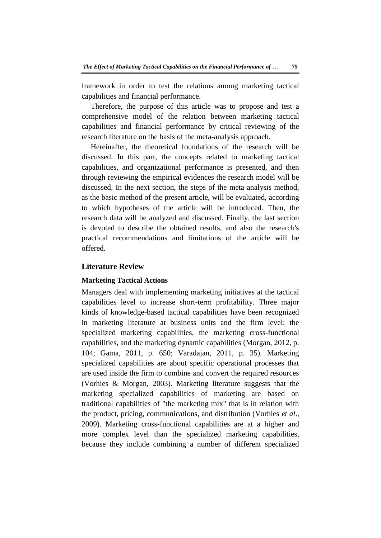framework in order to test the relations among marketing tactical capabilities and financial performance.

Therefore, the purpose of this article was to propose and test a comprehensive model of the relation between marketing tactical capabilities and financial performance by critical reviewing of the research literature on the basis of the meta-analysis approach.

Hereinafter, the theoretical foundations of the research will be discussed. In this part, the concepts related to marketing tactical capabilities, and organizational performance is presented, and then through reviewing the empirical evidences the research model will be discussed. In the next section, the steps of the meta-analysis method, as the basic method of the present article, will be evaluated, according to which hypotheses of the article will be introduced. Then, the research data will be analyzed and discussed. Finally, the last section is devoted to describe the obtained results, and also the research's practical recommendations and limitations of the article will be offered.

## **Literature Review**

## **Marketing Tactical Actions**

Managers deal with implementing marketing initiatives at the tactical capabilities level to increase short-term profitability. Three major kinds of knowledge-based tactical capabilities have been recognized in marketing literature at business units and the firm level: the specialized marketing capabilities, the marketing cross-functional capabilities, and the marketing dynamic capabilities (Morgan, 2012, p. 104; Gama, 2011, p. 650; Varadajan, 2011, p. 35). Marketing specialized capabilities are about specific operational processes that are used inside the firm to combine and convert the required resources (Vorhies & Morgan, 2003). Marketing literature suggests that the marketing specialized capabilities of marketing are based on traditional capabilities of "the marketing mix" that is in relation with the product, pricing, communications, and distribution (Vorhies *et al*., 2009). Marketing cross-functional capabilities are at a higher and more complex level than the specialized marketing capabilities, because they include combining a number of different specialized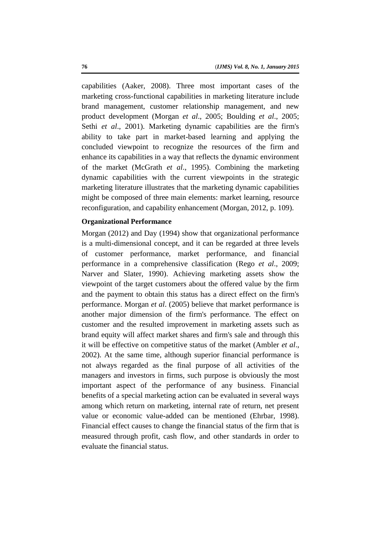capabilities (Aaker, 2008). Three most important cases of the marketing cross-functional capabilities in marketing literature include brand management, customer relationship management, and new product development (Morgan *et al*., 2005; Boulding *et al*., 2005; Sethi *et al.*, 2001). Marketing dynamic capabilities are the firm's ability to take part in market-based learning and applying the concluded viewpoint to recognize the resources of the firm and enhance its capabilities in a way that reflects the dynamic environment of the market (McGrath *et al*., 1995). Combining the marketing dynamic capabilities with the current viewpoints in the strategic marketing literature illustrates that the marketing dynamic capabilities might be composed of three main elements: market learning, resource reconfiguration, and capability enhancement (Morgan, 2012, p. 109).

## **Organizational Performance**

Morgan (2012) and Day (1994) show that organizational performance is a multi-dimensional concept, and it can be regarded at three levels of customer performance, market performance, and financial performance in a comprehensive classification (Rego *et al*., 2009; Narver and Slater, 1990). Achieving marketing assets show the viewpoint of the target customers about the offered value by the firm and the payment to obtain this status has a direct effect on the firm's performance. Morgan *et al*. (2005) believe that market performance is another major dimension of the firm's performance. The effect on customer and the resulted improvement in marketing assets such as brand equity will affect market shares and firm's sale and through this it will be effective on competitive status of the market (Ambler *et al*., 2002). At the same time, although superior financial performance is not always regarded as the final purpose of all activities of the managers and investors in firms, such purpose is obviously the most important aspect of the performance of any business. Financial benefits of a special marketing action can be evaluated in several ways among which return on marketing, internal rate of return, net present value or economic value-added can be mentioned (Ehrbar, 1998). Financial effect causes to change the financial status of the firm that is measured through profit, cash flow, and other standards in order to evaluate the financial status.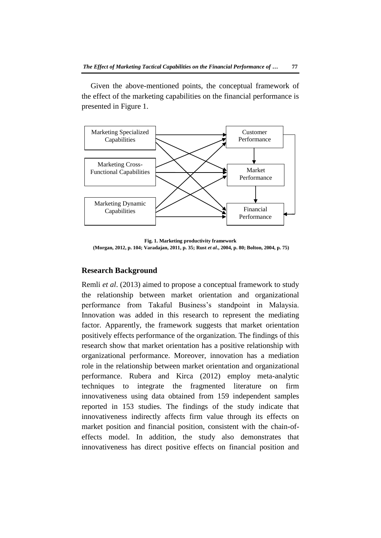Given the above-mentioned points, the conceptual framework of the effect of the marketing capabilities on the financial performance is presented in Figure 1.



**Fig. 1. Marketing productivity framework (Morgan, 2012, p. 104; Varadajan, 2011, p. 35; Rust** *et al***., 2004, p. 80; Bolton, 2004, p. 75)**

## **Research Background**

Remli *et al*. (2013) aimed to propose a conceptual framework to study the relationship between market orientation and organizational performance from Takaful Business's standpoint in Malaysia. Innovation was added in this research to represent the mediating factor. Apparently, the framework suggests that market orientation positively effects performance of the organization. The findings of this research show that market orientation has a positive relationship with organizational performance. Moreover, innovation has a mediation role in the relationship between market orientation and organizational performance. Rubera and Kirca (2012) employ meta-analytic techniques to integrate the fragmented literature on firm innovativeness using data obtained from 159 independent samples reported in 153 studies. The findings of the study indicate that innovativeness indirectly affects firm value through its effects on market position and financial position, consistent with the chain-ofeffects model. In addition, the study also demonstrates that innovativeness has direct positive effects on financial position and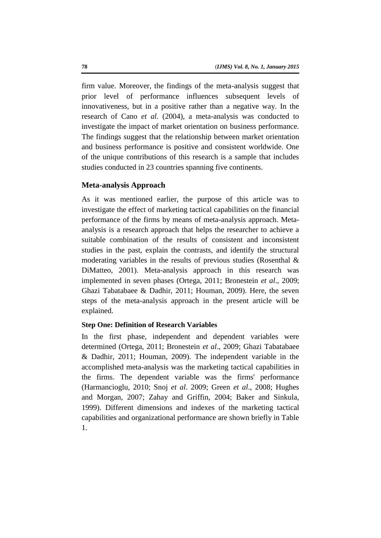firm value. Moreover, the findings of the meta-analysis suggest that prior level of performance influences subsequent levels of innovativeness, but in a positive rather than a negative way. In the research of Cano *et al*. (2004), a meta-analysis was conducted to investigate the impact of market orientation on business performance. The findings suggest that the relationship between market orientation and business performance is positive and consistent worldwide. One of the unique contributions of this research is a sample that includes studies conducted in 23 countries spanning five continents.

## **Meta-analysis Approach**

As it was mentioned earlier, the purpose of this article was to investigate the effect of marketing tactical capabilities on the financial performance of the firms by means of meta-analysis approach. Metaanalysis is a research approach that helps the researcher to achieve a suitable combination of the results of consistent and inconsistent studies in the past, explain the contrasts, and identify the structural moderating variables in the results of previous studies (Rosenthal & DiMatteo, 2001). Meta-analysis approach in this research was implemented in seven phases (Ortega, 2011; Bronestein *et al*., 2009; Ghazi Tabatabaee & Dadhir, 2011; Houman, 2009). Here, the seven steps of the meta-analysis approach in the present article will be explained.

## **Step One: Definition of Research Variables**

In the first phase, independent and dependent variables were determined (Ortega, 2011; Bronestein *et al*., 2009; Ghazi Tabatabaee & Dadhir, 2011; Houman, 2009). The independent variable in the accomplished meta-analysis was the marketing tactical capabilities in the firms. The dependent variable was the firms' performance (Harmancioglu, 2010; Snoj *et al*. 2009; Green *et al*., 2008; Hughes and Morgan, 2007; Zahay and Griffin, 2004; Baker and Sinkula, 1999). Different dimensions and indexes of the marketing tactical capabilities and organizational performance are shown briefly in Table 1.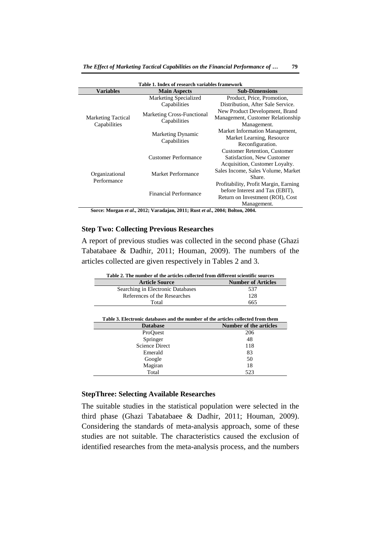| Table 1. Index of research variables framework |                             |                                       |  |  |
|------------------------------------------------|-----------------------------|---------------------------------------|--|--|
| <b>Variables</b>                               | <b>Main Aspects</b>         | <b>Sub-Dimensions</b>                 |  |  |
|                                                | Marketing Specialized       | Product, Price, Promotion,            |  |  |
|                                                | Capabilities                | Distribution, After Sale Service.     |  |  |
|                                                | Marketing Cross-Functional  | New Product Development, Brand        |  |  |
| <b>Marketing Tactical</b>                      | Capabilities                | Management, Customer Relationship     |  |  |
| Capabilities                                   |                             | Management.                           |  |  |
|                                                | Marketing Dynamic           | Market Information Management,        |  |  |
|                                                | Capabilities                | Market Learning, Resource             |  |  |
|                                                |                             | Reconfiguration.                      |  |  |
|                                                |                             | <b>Customer Retention, Customer</b>   |  |  |
|                                                | <b>Customer Performance</b> | Satisfaction, New Customer            |  |  |
|                                                |                             | Acquisition, Customer Loyalty.        |  |  |
| Organizational                                 | Market Performance          | Sales Income, Sales Volume, Market    |  |  |
| Performance                                    |                             | Share.                                |  |  |
|                                                |                             | Profitability, Profit Margin, Earning |  |  |
|                                                | Financial Performance       | before Interest and Tax (EBIT).       |  |  |
|                                                |                             | Return on Investment (ROI), Cost      |  |  |
|                                                |                             | Management.                           |  |  |

**Sorce: Morgan** *et al***., 2012; Varadajan, 2011; Rust** *et al***., 2004; Bolton, 2004.**

### **Step Two: Collecting Previous Researches**

A report of previous studies was collected in the second phase (Ghazi Tabatabaee & Dadhir, 2011; Houman, 2009). The numbers of the articles collected are given respectively in Tables 2 and 3.

| Table 2. The number of the articles collected from different scientific sources  |                               |  |  |
|----------------------------------------------------------------------------------|-------------------------------|--|--|
| <b>Article Source</b>                                                            | <b>Number of Articles</b>     |  |  |
| Searching in Electronic Databases                                                | 537                           |  |  |
| References of the Researches                                                     | 128                           |  |  |
| Total                                                                            | 665                           |  |  |
|                                                                                  |                               |  |  |
| Table 3. Electronic databases and the number of the articles collected from them |                               |  |  |
| <b>Database</b>                                                                  | <b>Number of the articles</b> |  |  |
| ProQuest                                                                         | 206                           |  |  |
| Springer                                                                         | 48                            |  |  |
| <b>Science Direct</b>                                                            | 118                           |  |  |
| Emerald                                                                          | 83                            |  |  |
| Google                                                                           | 50                            |  |  |
| Magiran                                                                          | 18                            |  |  |
| Total                                                                            | 523                           |  |  |

## **StepThree: Selecting Available Researches**

The suitable studies in the statistical population were selected in the third phase (Ghazi Tabatabaee & Dadhir, 2011; Houman, 2009). Considering the standards of meta-analysis approach, some of these studies are not suitable. The characteristics caused the exclusion of identified researches from the meta-analysis process, and the numbers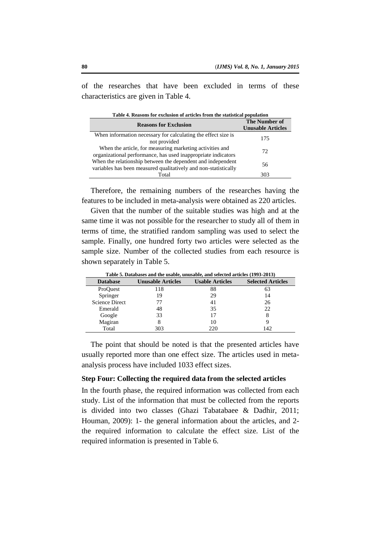of the researches that have been excluded in terms of these characteristics are given in Table 4.

| Table 4. Reasons for exclusion of articles from the statistical population                                                     |                                                  |  |  |
|--------------------------------------------------------------------------------------------------------------------------------|--------------------------------------------------|--|--|
| <b>Reasons for Exclusion</b>                                                                                                   | <b>The Number of</b><br><b>Unusable Articles</b> |  |  |
| When information necessary for calculating the effect size is<br>not provided                                                  | 175                                              |  |  |
| When the article, for measuring marketing activities and<br>organizational performance, has used inappropriate indicators      | 72                                               |  |  |
| When the relationship between the dependent and independent<br>variables has been measured qualitatively and non-statistically | 56                                               |  |  |
| Total                                                                                                                          | 303                                              |  |  |

Therefore, the remaining numbers of the researches having the features to be included in meta-analysis were obtained as 220 articles.

Given that the number of the suitable studies was high and at the same time it was not possible for the researcher to study all of them in terms of time, the stratified random sampling was used to select the sample. Finally, one hundred forty two articles were selected as the sample size. Number of the collected studies from each resource is shown separately in Table 5.

| Table 5. Dalabases and the usable, unusable, and sciected al ticles (1775-2015) |                          |                        |                          |  |
|---------------------------------------------------------------------------------|--------------------------|------------------------|--------------------------|--|
| <b>Database</b>                                                                 | <b>Unusable Articles</b> | <b>Usable Articles</b> | <b>Selected Articles</b> |  |
| ProQuest                                                                        | 118                      | 88                     | 63                       |  |
| Springer                                                                        | 19                       | 29                     | 14                       |  |
| <b>Science Direct</b>                                                           |                          | 41                     | 26                       |  |
| Emerald                                                                         | 48                       | 35                     | 22                       |  |
| Google                                                                          | 33                       | 17                     |                          |  |
| Magiran                                                                         | 8                        | 10                     |                          |  |
| Total                                                                           | 303                      | 220                    | 142                      |  |

**Table 5. Databases and the usable, unusable, and selected articles (1993-2013)**

The point that should be noted is that the presented articles have usually reported more than one effect size. The articles used in metaanalysis process have included 1033 effect sizes.

#### **Step Four: Collecting the required data from the selected articles**

In the fourth phase, the required information was collected from each study. List of the information that must be collected from the reports is divided into two classes (Ghazi Tabatabaee & Dadhir, 2011; Houman, 2009): 1- the general information about the articles, and 2 the required information to calculate the effect size. List of the required information is presented in Table 6.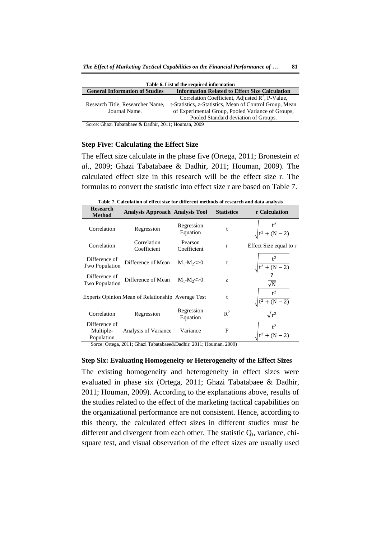| Table 6. List of the required information                                                                                                                                                                                                                                                                                                                                                                  |                                                         |  |  |
|------------------------------------------------------------------------------------------------------------------------------------------------------------------------------------------------------------------------------------------------------------------------------------------------------------------------------------------------------------------------------------------------------------|---------------------------------------------------------|--|--|
| <b>General Information of Studies</b>                                                                                                                                                                                                                                                                                                                                                                      | <b>Information Related to Effect Size Calculation</b>   |  |  |
|                                                                                                                                                                                                                                                                                                                                                                                                            | Correlation Coefficient, Adjusted $R^2$ , P-Value,      |  |  |
| Research Title, Researcher Name,                                                                                                                                                                                                                                                                                                                                                                           | t-Statistics, z-Statistics, Mean of Control Group, Mean |  |  |
| Journal Name.                                                                                                                                                                                                                                                                                                                                                                                              | of Experimental Group, Pooled Variance of Groups,       |  |  |
|                                                                                                                                                                                                                                                                                                                                                                                                            | Pooled Standard deviation of Groups.                    |  |  |
| $C_{\text{max}}$ $C_{\text{best}}$ $T_{\text{best}}$ $T_{\text{best}}$ $T_{\text{best}}$ $T_{\text{best}}$ $T_{\text{best}}$ $T_{\text{best}}$ $T_{\text{best}}$ $T_{\text{best}}$ $T_{\text{best}}$ $T_{\text{best}}$ $T_{\text{best}}$ $T_{\text{best}}$ $T_{\text{best}}$ $T_{\text{best}}$ $T_{\text{best}}$ $T_{\text{best}}$ $T_{\text{best}}$ $T_{\text{best}}$ $T_{\text{best}}$ $T_{\text{best}}$ |                                                         |  |  |

Sorce: Ghazi Tabatabaee & Dadhir, 2011; Houman, 2009

### **Step Five: Calculating the Effect Size**

The effect size calculate in the phase five (Ortega, 2011; Bronestein *et al*., 2009; Ghazi Tabatabaee & Dadhir, 2011; Houman, 2009). The calculated effect size in this research will be the effect size r. The formulas to convert the statistic into effect size r are based on Table 7.

**Table 7. Calculation of effect size for different methods of research and data analysis** 

| <b>Research</b><br><b>Method</b>         | Analysis Approach Analysis Tool                   |                        | <b>Statistics</b> | r Calculation            |
|------------------------------------------|---------------------------------------------------|------------------------|-------------------|--------------------------|
| Correlation                              | Regression                                        | Regression<br>Equation | t                 | $(N - 2)$                |
| Correlation                              | Correlation<br>Coefficient                        | Pearson<br>Coefficient | r                 | Effect Size equal to r   |
| Difference of<br>Two Population          | Difference of Mean                                | $M_1-M_2 \leq 0$       | t                 | $t^2$<br>$(N - 2)$       |
| Difference of<br>Two Population          | Difference of Mean                                | $M_1-M_2 \leq 0$       | Z                 | $\sqrt{N}$               |
|                                          | Experts Opinion Mean of Relationship Average Test |                        | t                 | $t^2$                    |
| Correlation                              | Regression                                        | Regression<br>Equation | $R^2$             |                          |
| Difference of<br>Multiple-<br>Population | Analysis of Variance                              | Variance               | F                 | $t^2$<br>$t^2 + (N - 2)$ |
|                                          |                                                   |                        |                   |                          |

Sorce: Ortega, 2011; Ghazi Tabatabaee&Dadhir, 2011; Houman, 2009)

#### **Step Six: Evaluating Homogeneity or Heterogeneity of the Effect Sizes**

The existing homogeneity and heterogeneity in effect sizes were evaluated in phase six (Ortega, 2011; Ghazi Tabatabaee & Dadhir, 2011; Houman, 2009). According to the explanations above, results of the studies related to the effect of the marketing tactical capabilities on the organizational performance are not consistent. Hence, according to this theory, the calculated effect sizes in different studies must be different and divergent from each other. The statistic  $Q_t$ , variance, chisquare test, and visual observation of the effect sizes are usually used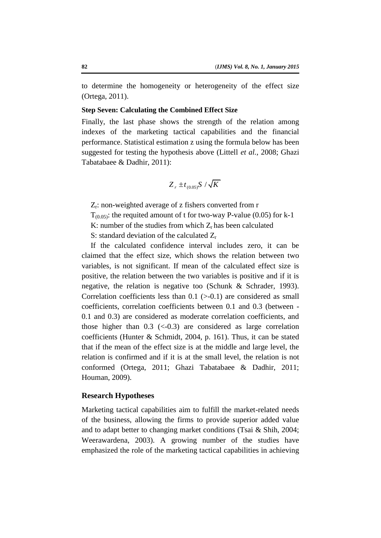to determine the homogeneity or heterogeneity of the effect size (Ortega, 2011).

## **Step Seven: Calculating the Combined Effect Size**

Finally, the last phase shows the strength of the relation among indexes of the marketing tactical capabilities and the financial performance. Statistical estimation z using the formula below has been suggested for testing the hypothesis above (Littell *et al.,* 2008; Ghazi Tabatabaee & Dadhir, 2011):

$$
Z_r \pm t_{(0.05)} S / \sqrt{K}
$$

 $Z_r$ : non-weighted average of z fishers converted from  $r$  $T_{(0.05)}$ : the requited amount of t for two-way P-value (0.05) for k-1

K: number of the studies from which  $Z_r$  has been calculated

S: standard deviation of the calculated  $Z_r$ 

If the calculated confidence interval includes zero, it can be claimed that the effect size, which shows the relation between two variables, is not significant. If mean of the calculated effect size is positive, the relation between the two variables is positive and if it is negative, the relation is negative too (Schunk & Schrader, 1993). Correlation coefficients less than  $0.1$  ( $>0.1$ ) are considered as small coefficients, correlation coefficients between 0.1 and 0.3 (between - 0.1 and 0.3) are considered as moderate correlation coefficients, and those higher than  $0.3$  (<-0.3) are considered as large correlation coefficients (Hunter & Schmidt, 2004, p. 161). Thus, it can be stated that if the mean of the effect size is at the middle and large level, the relation is confirmed and if it is at the small level, the relation is not conformed (Ortega, 2011; Ghazi Tabatabaee & Dadhir, 2011; Houman, 2009).

## **Research Hypotheses**

Marketing tactical capabilities aim to fulfill the market-related needs of the business, allowing the firms to provide superior added value and to adapt better to changing market conditions (Tsai & Shih, 2004; Weerawardena, 2003). A growing number of the studies have emphasized the role of the marketing tactical capabilities in achieving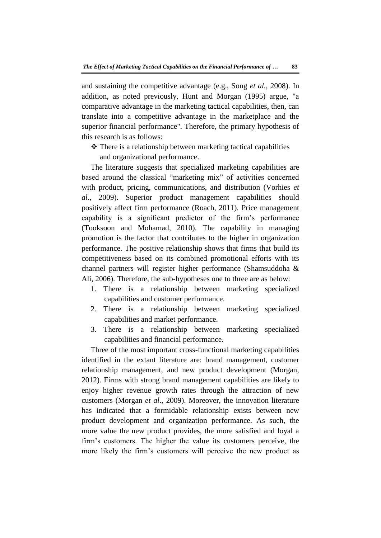and sustaining the competitive advantage (e.g., Song *et al.,* 2008). In addition, as noted previously, Hunt and Morgan (1995) argue, "a comparative advantage in the marketing tactical capabilities, then, can translate into a competitive advantage in the marketplace and the superior financial performance". Therefore, the primary hypothesis of this research is as follows:

 $\triangle$  There is a relationship between marketing tactical capabilities and organizational performance.

The literature suggests that specialized marketing capabilities are based around the classical "marketing mix" of activities concerned with product, pricing, communications, and distribution (Vorhies *et al*., 2009). Superior product management capabilities should positively affect firm performance (Roach, 2011). Price management capability is a significant predictor of the firm's performance (Tooksoon and Mohamad, 2010). The capability in managing promotion is the factor that contributes to the higher in organization performance. The positive relationship shows that firms that build its competitiveness based on its combined promotional efforts with its channel partners will register higher performance (Shamsuddoha & Ali, 2006). Therefore, the sub-hypotheses one to three are as below:

- 1. There is a relationship between marketing specialized capabilities and customer performance.
- 2. There is a relationship between marketing specialized capabilities and market performance.
- 3. There is a relationship between marketing specialized capabilities and financial performance.

Three of the most important cross-functional marketing capabilities identified in the extant literature are: brand management, customer relationship management, and new product development (Morgan, 2012). Firms with strong brand management capabilities are likely to enjoy higher revenue growth rates through the attraction of new customers (Morgan *et al*., 2009). Moreover, the innovation literature has indicated that a formidable relationship exists between new product development and organization performance. As such, the more value the new product provides, the more satisfied and loyal a firm's customers. The higher the value its customers perceive, the more likely the firm's customers will perceive the new product as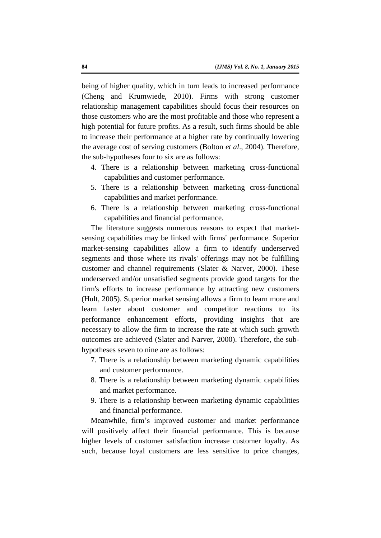being of higher quality, which in turn leads to increased performance (Cheng and Krumwiede, 2010). Firms with strong customer relationship management capabilities should focus their resources on those customers who are the most profitable and those who represent a high potential for future profits. As a result, such firms should be able to increase their performance at a higher rate by continually lowering the average cost of serving customers (Bolton *et al*., 2004). Therefore, the sub-hypotheses four to six are as follows:

- 4. There is a relationship between marketing cross-functional capabilities and customer performance.
- 5. There is a relationship between marketing cross-functional capabilities and market performance.
- 6. There is a relationship between marketing cross-functional capabilities and financial performance.

The literature suggests numerous reasons to expect that marketsensing capabilities may be linked with firms' performance. Superior market-sensing capabilities allow a firm to identify underserved segments and those where its rivals' offerings may not be fulfilling customer and channel requirements (Slater & Narver, 2000). These underserved and/or unsatisfied segments provide good targets for the firm's efforts to increase performance by attracting new customers (Hult, 2005). Superior market sensing allows a firm to learn more and learn faster about customer and competitor reactions to its performance enhancement efforts, providing insights that are necessary to allow the firm to increase the rate at which such growth outcomes are achieved (Slater and Narver, 2000). Therefore, the subhypotheses seven to nine are as follows:

- 7. There is a relationship between marketing dynamic capabilities and customer performance.
- 8. There is a relationship between marketing dynamic capabilities and market performance.
- 9. There is a relationship between marketing dynamic capabilities and financial performance.

Meanwhile, firm's improved customer and market performance will positively affect their financial performance. This is because higher levels of customer satisfaction increase customer loyalty. As such, because loyal customers are less sensitive to price changes,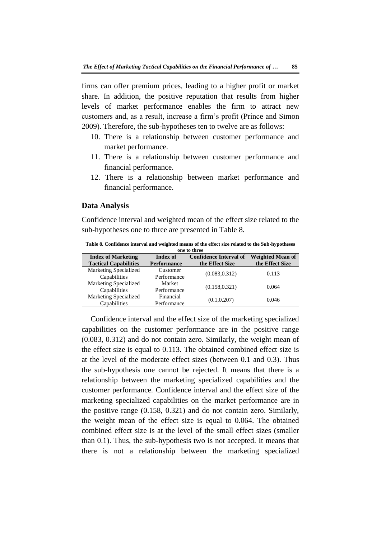firms can offer premium prices, leading to a higher profit or market share. In addition, the positive reputation that results from higher levels of market performance enables the firm to attract new customers and, as a result, increase a firm's profit (Prince and Simon 2009). Therefore, the sub-hypotheses ten to twelve are as follows:

- 10. There is a relationship between customer performance and market performance.
- 11. There is a relationship between customer performance and financial performance.
- 12. There is a relationship between market performance and financial performance.

## **Data Analysis**

Confidence interval and weighted mean of the effect size related to the sub-hypotheses one to three are presented in Table 8.

**Table 8. Confidence interval and weighted means of the effect size related to the Sub-hypotheses** 

| one to three                 |                    |                               |                         |  |
|------------------------------|--------------------|-------------------------------|-------------------------|--|
| <b>Index of Marketing</b>    | Index of           | <b>Confidence Interval of</b> | <b>Weighted Mean of</b> |  |
| <b>Tactical Capabilities</b> | <b>Performance</b> | the Effect Size               | the Effect Size         |  |
| Marketing Specialized        | Customer           | (0.083, 0.312)                | 0.113                   |  |
| Capabilities                 | Performance        |                               |                         |  |
| Marketing Specialized        | Market             | (0.158, 0.321)                | 0.064                   |  |
| Capabilities                 | Performance        |                               |                         |  |
| Marketing Specialized        | Financial          |                               | 0.046                   |  |
| Capabilities                 | Performance        | (0.1, 0.207)                  |                         |  |
|                              |                    |                               |                         |  |

Confidence interval and the effect size of the marketing specialized capabilities on the customer performance are in the positive range (0.083, 0.312) and do not contain zero. Similarly, the weight mean of the effect size is equal to 0.113. The obtained combined effect size is at the level of the moderate effect sizes (between 0.1 and 0.3). Thus the sub-hypothesis one cannot be rejected. It means that there is a relationship between the marketing specialized capabilities and the customer performance. Confidence interval and the effect size of the marketing specialized capabilities on the market performance are in the positive range (0.158, 0.321) and do not contain zero. Similarly, the weight mean of the effect size is equal to 0.064. The obtained combined effect size is at the level of the small effect sizes (smaller than 0.1). Thus, the sub-hypothesis two is not accepted. It means that there is not a relationship between the marketing specialized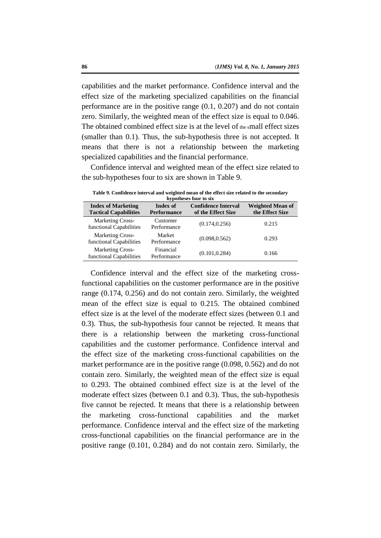capabilities and the market performance. Confidence interval and the effect size of the marketing specialized capabilities on the financial performance are in the positive range (0.1, 0.207) and do not contain zero. Similarly, the weighted mean of the effect size is equal to 0.046. The obtained combined effect size is at the level of the small effect sizes (smaller than 0.1). Thus, the sub-hypothesis three is not accepted. It means that there is not a relationship between the marketing specialized capabilities and the financial performance.

Confidence interval and weighted mean of the effect size related to the sub-hypotheses four to six are shown in Table 9.

**Table 9. Confidence interval and weighted mean of the effect size related to the secondary hypotheses four to six**

| <b>Index of Marketing</b><br><b>Tactical Capabilities</b> | Index of<br><b>Performance</b> | <b>Confidence Interval</b><br>of the Effect Size | <b>Weighted Mean of</b><br>the Effect Size |
|-----------------------------------------------------------|--------------------------------|--------------------------------------------------|--------------------------------------------|
| <b>Marketing Cross-</b><br>functional Capabilities        | Customer<br>Performance        | (0.174, 0.256)                                   | 0.215                                      |
| Marketing Cross-<br>functional Capabilities               | Market<br>Performance          | (0.098, 0.562)                                   | 0.293                                      |
| <b>Marketing Cross-</b><br>functional Capabilities        | Financial<br>Performance       | (0.101, 0.284)                                   | 0.166                                      |

Confidence interval and the effect size of the marketing crossfunctional capabilities on the customer performance are in the positive range (0.174, 0.256) and do not contain zero. Similarly, the weighted mean of the effect size is equal to 0.215. The obtained combined effect size is at the level of the moderate effect sizes (between 0.1 and 0.3). Thus, the sub-hypothesis four cannot be rejected. It means that there is a relationship between the marketing cross-functional capabilities and the customer performance. Confidence interval and the effect size of the marketing cross-functional capabilities on the market performance are in the positive range (0.098, 0.562) and do not contain zero. Similarly, the weighted mean of the effect size is equal to 0.293. The obtained combined effect size is at the level of the moderate effect sizes (between 0.1 and 0.3). Thus, the sub-hypothesis five cannot be rejected. It means that there is a relationship between the marketing cross-functional capabilities and the market performance. Confidence interval and the effect size of the marketing cross-functional capabilities on the financial performance are in the positive range (0.101, 0.284) and do not contain zero. Similarly, the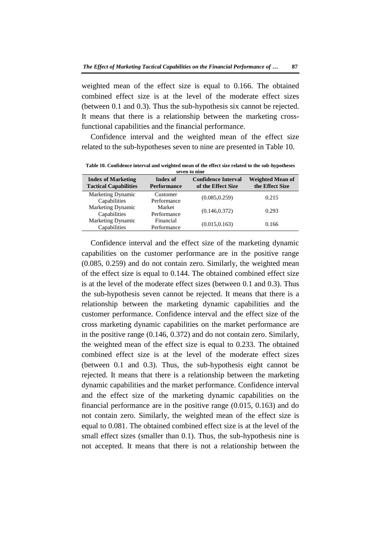weighted mean of the effect size is equal to 0.166. The obtained combined effect size is at the level of the moderate effect sizes (between 0.1 and 0.3). Thus the sub-hypothesis six cannot be rejected. It means that there is a relationship between the marketing crossfunctional capabilities and the financial performance.

Confidence interval and the weighted mean of the effect size related to the sub-hypotheses seven to nine are presented in Table 10.

**Table 10. Confidence interval and weighted mean of the effect size related to the sub-hypotheses seven to nine**

| <b>Index of Marketing</b><br><b>Tactical Capabilities</b> | Index of<br><b>Performance</b> | <b>Confidence Interval</b><br>of the Effect Size | <b>Weighted Mean of</b><br>the Effect Size |  |
|-----------------------------------------------------------|--------------------------------|--------------------------------------------------|--------------------------------------------|--|
| Marketing Dynamic                                         | Customer                       | (0.085, 0.259)                                   | 0.215                                      |  |
| Capabilities                                              | Performance                    |                                                  |                                            |  |
| Marketing Dynamic                                         | Market                         | (0.146, 0.372)                                   | 0.293                                      |  |
| Capabilities                                              | Performance                    |                                                  |                                            |  |
| Marketing Dynamic                                         | Financial                      |                                                  |                                            |  |
| Capabilities                                              | Performance                    | (0.015, 0.163)                                   | 0.166                                      |  |

Confidence interval and the effect size of the marketing dynamic capabilities on the customer performance are in the positive range (0.085, 0.259) and do not contain zero. Similarly, the weighted mean of the effect size is equal to 0.144. The obtained combined effect size is at the level of the moderate effect sizes (between 0.1 and 0.3). Thus the sub-hypothesis seven cannot be rejected. It means that there is a relationship between the marketing dynamic capabilities and the customer performance. Confidence interval and the effect size of the cross marketing dynamic capabilities on the market performance are in the positive range (0.146, 0.372) and do not contain zero. Similarly, the weighted mean of the effect size is equal to 0.233. The obtained combined effect size is at the level of the moderate effect sizes (between 0.1 and 0.3). Thus, the sub-hypothesis eight cannot be rejected. It means that there is a relationship between the marketing dynamic capabilities and the market performance. Confidence interval and the effect size of the marketing dynamic capabilities on the financial performance are in the positive range (0.015, 0.163) and do not contain zero. Similarly, the weighted mean of the effect size is equal to 0.081. The obtained combined effect size is at the level of the small effect sizes (smaller than 0.1). Thus, the sub-hypothesis nine is not accepted. It means that there is not a relationship between the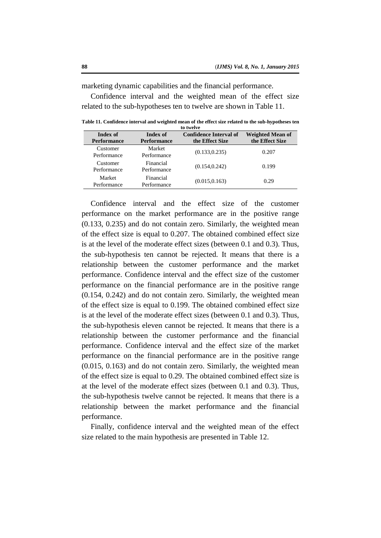marketing dynamic capabilities and the financial performance.

Financial

Financial

Confidence interval and the weighted mean of the effect size related to the sub-hypotheses ten to twelve are shown in Table 11.

| to twelve                      |                                |                                                  |                                            |
|--------------------------------|--------------------------------|--------------------------------------------------|--------------------------------------------|
| Index of<br><b>Performance</b> | Index of<br><b>Performance</b> | <b>Confidence Interval of</b><br>the Effect Size | <b>Weighted Mean of</b><br>the Effect Size |
| Customer<br>Performance        | Market<br>Performance          | (0.133, 0.235)                                   | 0.207                                      |

Performance (0.154,0.242) 0.199

Performance (0.015,0.163) 0.29

**Table 11. Confidence interval and weighted mean of the effect size related to the sub-hypotheses ten** 

| Confidence interval and the effect size of the customer                   |
|---------------------------------------------------------------------------|
|                                                                           |
| performance on the market performance are in the positive range           |
| $(0.133, 0.235)$ and do not contain zero. Similarly, the weighted mean    |
| of the effect size is equal to 0.207. The obtained combined effect size   |
| is at the level of the moderate effect sizes (between 0.1 and 0.3). Thus, |
| the sub-hypothesis ten cannot be rejected. It means that there is a       |
| relationship between the customer performance and the market              |
| performance. Confidence interval and the effect size of the customer      |
| performance on the financial performance are in the positive range        |
| $(0.154, 0.242)$ and do not contain zero. Similarly, the weighted mean    |
| of the effect size is equal to 0.199. The obtained combined effect size   |
| is at the level of the moderate effect sizes (between 0.1 and 0.3). Thus, |
| the sub-hypothesis eleven cannot be rejected. It means that there is a    |
| relationship between the customer performance and the financial           |
| performance. Confidence interval and the effect size of the market        |
| performance on the financial performance are in the positive range        |
| $(0.015, 0.163)$ and do not contain zero. Similarly, the weighted mean    |
| of the effect size is equal to 0.29. The obtained combined effect size is |
| at the level of the moderate effect sizes (between 0.1 and 0.3). Thus,    |
| the sub-hypothesis twelve cannot be rejected. It means that there is a    |
| relationship between the market performance and the financial             |
| performance.                                                              |

Finally, confidence interval and the weighted mean of the effect size related to the main hypothesis are presented in Table 12.

Customer Performance

Market Performance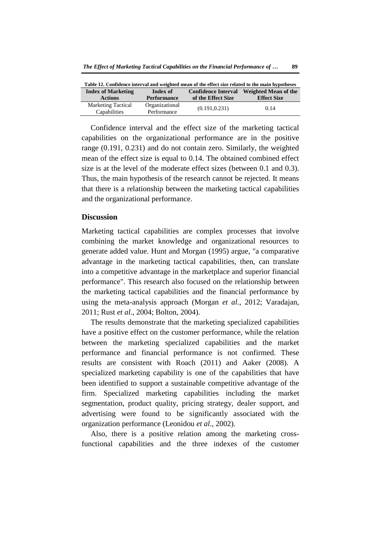| Table 12. Confidence interval and weighted mean of the effect size related to the main hypotheses |                    |                            |                      |  |
|---------------------------------------------------------------------------------------------------|--------------------|----------------------------|----------------------|--|
| <b>Index of Marketing</b>                                                                         | Index of           | <b>Confidence Interval</b> | Weighted Mean of the |  |
| <b>Actions</b>                                                                                    | <b>Performance</b> | of the Effect Size         | <b>Effect Size</b>   |  |
| <b>Marketing Tactical</b>                                                                         | Organizational     | (0.191, 0.231)             | 0.14                 |  |
| Capabilities                                                                                      | Performance        |                            |                      |  |

Confidence interval and the effect size of the marketing tactical capabilities on the organizational performance are in the positive range (0.191, 0.231) and do not contain zero. Similarly, the weighted mean of the effect size is equal to 0.14. The obtained combined effect size is at the level of the moderate effect sizes (between 0.1 and 0.3). Thus, the main hypothesis of the research cannot be rejected. It means that there is a relationship between the marketing tactical capabilities and the organizational performance.

## **Discussion**

Marketing tactical capabilities are complex processes that involve combining the market knowledge and organizational resources to generate added value. Hunt and Morgan (1995) argue, "a comparative advantage in the marketing tactical capabilities, then, can translate into a competitive advantage in the marketplace and superior financial performance". This research also focused on the relationship between the marketing tactical capabilities and the financial performance by using the meta-analysis approach (Morgan *et al*., 2012; Varadajan, 2011; Rust *et al*., 2004; Bolton, 2004).

The results demonstrate that the marketing specialized capabilities have a positive effect on the customer performance, while the relation between the marketing specialized capabilities and the market performance and financial performance is not confirmed. These results are consistent with Roach (2011) and Aaker (2008). A specialized marketing capability is one of the capabilities that have been identified to support a sustainable competitive advantage of the firm. Specialized marketing capabilities including the market segmentation, product quality, pricing strategy, dealer support, and advertising were found to be significantly associated with the organization performance (Leonidou *et al*., 2002).

Also, there is a positive relation among the marketing crossfunctional capabilities and the three indexes of the customer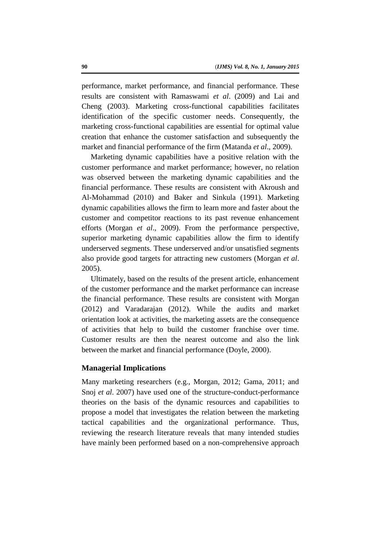performance, market performance, and financial performance. These results are consistent with Ramaswami *et al*. (2009) and Lai and Cheng (2003). Marketing cross-functional capabilities facilitates identification of the specific customer needs. Consequently, the marketing cross-functional capabilities are essential for optimal value creation that enhance the customer satisfaction and subsequently the market and financial performance of the firm (Matanda *et al*., 2009).

Marketing dynamic capabilities have a positive relation with the customer performance and market performance; however, no relation was observed between the marketing dynamic capabilities and the financial performance. These results are consistent with Akroush and Al-Mohammad (2010) and Baker and Sinkula (1991). Marketing dynamic capabilities allows the firm to learn more and faster about the customer and competitor reactions to its past revenue enhancement efforts (Morgan *et al*., 2009). From the performance perspective, superior marketing dynamic capabilities allow the firm to identify underserved segments. These underserved and/or unsatisfied segments also provide good targets for attracting new customers (Morgan *et al*. 2005).

Ultimately, based on the results of the present article, enhancement of the customer performance and the market performance can increase the financial performance. These results are consistent with Morgan (2012) and Varadarajan (2012). While the audits and market orientation look at activities, the marketing assets are the consequence of activities that help to build the customer franchise over time. Customer results are then the nearest outcome and also the link between the market and financial performance (Doyle, 2000).

## **Managerial Implications**

Many marketing researchers (e.g., Morgan, 2012; Gama, 2011; and Snoj *et al*. 2007) have used one of the structure-conduct-performance theories on the basis of the dynamic resources and capabilities to propose a model that investigates the relation between the marketing tactical capabilities and the organizational performance. Thus, reviewing the research literature reveals that many intended studies have mainly been performed based on a non-comprehensive approach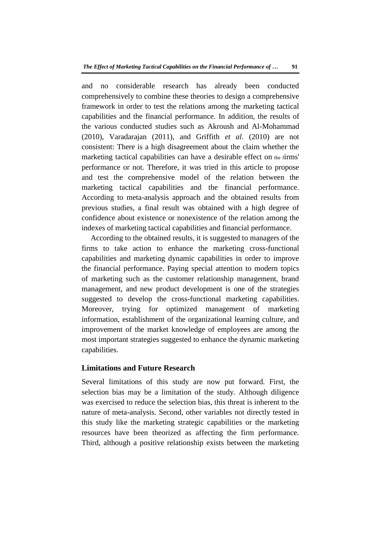and no considerable research has already been conducted comprehensively to combine these theories to design a comprehensive framework in order to test the relations among the marketing tactical capabilities and the financial performance. In addition, the results of the various conducted studies such as Akroush and Al-Mohammad (2010), Varadarajan (2011), and Griffith *et al*. (2010) are not consistent: There is a high disagreement about the claim whether the marketing tactical capabilities can have a desirable effect on the firms' performance or not. Therefore, it was tried in this article to propose and test the comprehensive model of the relation between the marketing tactical capabilities and the financial performance. According to meta-analysis approach and the obtained results from previous studies, a final result was obtained with a high degree of confidence about existence or nonexistence of the relation among the indexes of marketing tactical capabilities and financial performance.

According to the obtained results, it is suggested to managers of the firms to take action to enhance the marketing cross-functional capabilities and marketing dynamic capabilities in order to improve the financial performance. Paying special attention to modern topics of marketing such as the customer relationship management, brand management, and new product development is one of the strategies suggested to develop the cross-functional marketing capabilities. Moreover, trying for optimized management of marketing information, establishment of the organizational learning culture, and improvement of the market knowledge of employees are among the most important strategies suggested to enhance the dynamic marketing capabilities.

# **Limitations and Future Research**

Several limitations of this study are now put forward. First, the selection bias may be a limitation of the study. Although diligence was exercised to reduce the selection bias, this threat is inherent to the nature of meta-analysis. Second, other variables not directly tested in this study like the marketing strategic capabilities or the marketing resources have been theorized as affecting the firm performance. Third, although a positive relationship exists between the marketing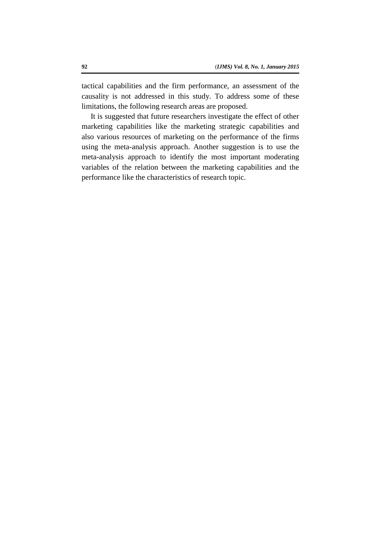tactical capabilities and the firm performance, an assessment of the causality is not addressed in this study. To address some of these limitations, the following research areas are proposed.

It is suggested that future researchers investigate the effect of other marketing capabilities like the marketing strategic capabilities and also various resources of marketing on the performance of the firms using the meta-analysis approach. Another suggestion is to use the meta-analysis approach to identify the most important moderating variables of the relation between the marketing capabilities and the performance like the characteristics of research topic.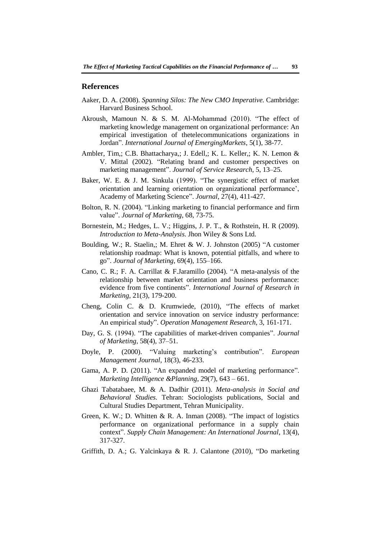#### **References**

- Aaker, D. A. (2008). *Spanning Silos: The New CMO Imperative.* Cambridge: Harvard Business School.
- Akroush, Mamoun N. & S. M. Al-Mohammad (2010). "The effect of marketing knowledge management on organizational performance: An empirical investigation of thetelecommunications organizations in Jordan". *International Journal of EmergingMarkets*, 5(1), 38-77.
- Ambler, Tim,; C.B. Bhattacharya,; J. Edell,; K. L. Keller,; K. N. Lemon & V. Mittal (2002). "Relating brand and customer perspectives on marketing management". *Journal of Service Research*, 5, 13–25.
- Baker, W. E. & J. M. Sinkula (1999). "The synergistic effect of market orientation and learning orientation on organizational performance', Academy of Marketing Science". *Journal*, 27(4), 411-427.
- Bolton, R. N. (2004). "Linking marketing to financial performance and firm value". *Journal of Marketing*, 68, 73-75.
- Bornestein, M.; Hedges, L. V.; Higgins, J. P. T., & Rothstein, H. R (2009). *Introduction to Meta-Analysis.* Jhon Wiley & Sons Ltd.
- Boulding, W.; R. Staelin,; M. Ehret & W. J. Johnston (2005) "A customer relationship roadmap: What is known, potential pitfalls, and where to go". *Journal of Marketing*, 69(4), 155–166.
- Cano, C. R.; F. A. Carrillat & F.Jaramillo (2004). "A meta-analysis of the relationship between market orientation and business performance: evidence from five continents". *International Journal of Research in Marketing*, 21(3), 179-200.
- Cheng, Colin C. & D. Krumwiede, (2010), "The effects of market orientation and service innovation on service industry performance: An empirical study". *Operation Management Research*, 3, 161-171.
- Day, G. S. (1994). "The capabilities of market-driven companies". *Journal of Marketing*, 58(4), 37–51.
- Doyle, P. (2000). "Valuing marketing's contribution". *European Management Journal*, 18(3), 46-233.
- Gama, A. P. D. (2011). "An expanded model of marketing performance". *Marketing Intelligence &Planning*, 29(7), 643 – 661.
- Ghazi Tabatabaee, M. & A. Dadhir (2011). *Meta-analysis in Social and Behavioral Studies.* Tehran: Sociologists publications, Social and Cultural Studies Department, Tehran Municipality.
- Green, K. W.; D. Whitten & R. A. Inman (2008). "The impact of logistics performance on organizational performance in a supply chain context". *Supply Chain Management: An International Journal*, 13(4), 317-327.
- Griffith, D. A.; G. Yalcinkaya & R. J. Calantone (2010), "Do marketing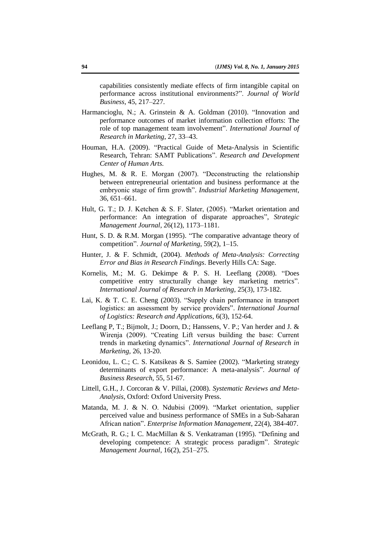capabilities consistently mediate effects of firm intangible capital on performance across institutional environments?". *Journal of World Business*, 45, 217–227.

- Harmancioglu, N.; A. Grinstein & A. Goldman (2010). "Innovation and performance outcomes of market information collection efforts: The role of top management team involvement". *International Journal of Research in Marketing*, 27, 33–43.
- Houman, H.A. (2009). "Practical Guide of Meta-Analysis in Scientific Research, Tehran: SAMT Publications". *Research and Development Center of Human Arts.*
- Hughes, M. & R. E. Morgan (2007). "Deconstructing the relationship between entrepreneurial orientation and business performance at the embryonic stage of firm growth". *Industrial Marketing Management*, 36, 651–661.
- Hult, G. T.; D. J. Ketchen & S. F. Slater, (2005). "Market orientation and performance: An integration of disparate approaches", *Strategic Management Journal*, 26(12), 1173–1181.
- Hunt, S. D. & R.M. Morgan (1995). "The comparative advantage theory of competition". *Journal of Marketing*, 59(2), 1–15.
- Hunter, J. & F. Schmidt, (2004). *Methods of Meta-Analysis: Correcting Error and Bias in Research Findings*. Beverly Hills CA: Sage.
- Kornelis, M.; M. G. Dekimpe & P. S. H. Leeflang (2008). "Does competitive entry structurally change key marketing metrics". *International Journal of Research in Marketing*, 25(3), 173-182.
- Lai, K. & T. C. E. Cheng (2003). "Supply chain performance in transport logistics: an assessment by service providers". *International Journal of Logistics: Research and Applications*, 6(3), 152-64.
- Leeflang P, T.; Bijmolt, J.; Doorn, D.; Hanssens, V. P.; Van herder and J. & Wirenja (2009). "Creating Lift versus building the base: Current trends in marketing dynamics". *International Journal of Research in Marketing*, 26, 13-20.
- Leonidou, L. C.; C. S. Katsikeas & S. Samiee (2002). "Marketing strategy determinants of export performance: A meta-analysis". *Journal of Business Research*, 55, 51-67.
- Littell, G.H., J. Corcoran & V. Pillai, (2008). *Systematic Reviews and Meta-Analysis*, Oxford: Oxford University Press.
- Matanda, M. J. & N. O. Ndubisi (2009). "Market orientation, supplier perceived value and business performance of SMEs in a Sub-Saharan African nation". *Enterprise Information Management*, 22(4), 384-407.
- McGrath, R. G.; I. C. MacMillan & S. Venkatraman (1995). "Defining and developing competence: A strategic process paradigm". *Strategic Management Journal*, 16(2), 251–275.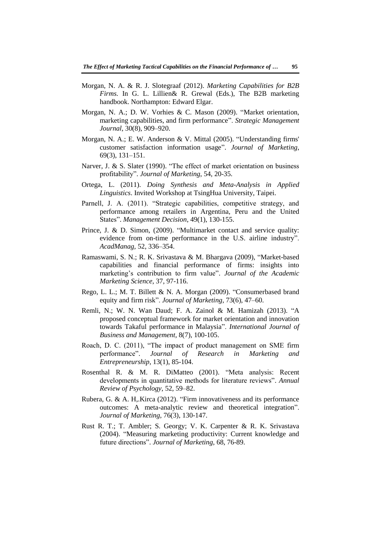- Morgan, N. A. & R. J. Slotegraaf (2012). *Marketing Capabilities for B2B Firms.* In G. L. Lillien& R. Grewal (Eds.), The B2B marketing handbook. Northampton: Edward Elgar.
- Morgan, N. A.; D. W. Vorhies & C. Mason (2009). "Market orientation, marketing capabilities, and firm performance". *Strategic Management Journal*, 30(8), 909–920.
- Morgan, N. A.; E. W. Anderson & V. Mittal (2005). "Understanding firms' customer satisfaction information usage". *Journal of Marketing*, 69(3), 131–151.
- Narver, J. & S. Slater (1990). "The effect of market orientation on business profitability". *Journal of Marketing*, 54, 20-35.
- Ortega, L. (2011). *Doing Synthesis and Meta-Analysis in Applied Linguistics*. Invited Workshop at TsingHua University, Taipei.
- Parnell, J. A. (2011). "Strategic capabilities, competitive strategy, and performance among retailers in Argentina, Peru and the United States". *Management Decision*, 49(1), 130-155.
- Prince, J. & D. Simon, (2009). "Multimarket contact and service quality: evidence from on-time performance in the U.S. airline industry". *AcadManag,* 52, 336–354.
- Ramaswami, S. N.; R. K. Srivastava & M. Bhargava (2009), "Market-based capabilities and financial performance of firms: insights into marketing's contribution to firm value". *Journal of the Academic Marketing Science*, 37, 97-116.
- Rego, L. L.; M. T. Billett & N. A. Morgan (2009). "Consumerbased brand equity and firm risk". *Journal of Marketing*, 73(6), 47–60.
- Remli, N.; W. N. Wan Daud; F. A. Zainol & M. Hamizah (2013). "A proposed conceptual framework for market orientation and innovation towards Takaful performance in Malaysia". *International Journal of Business and Management,* 8(7), 100-105.
- Roach, D. C. (2011), "The impact of product management on SME firm performance". *Journal of Research in Marketing and Entrepreneurship*, 13(1), 85-104.
- Rosenthal R. & M. R. DiMatteo (2001). "Meta analysis: Recent developments in quantitative methods for literature reviews". *Annual Review of Psychology*, 52, 59–82.
- Rubera, G. & A. H,.Kirca (2012). "Firm innovativeness and its performance outcomes: A meta-analytic review and theoretical integration". *Journal of Marketing*, 76(3), 130-147.
- Rust R. T.; T. Ambler; S. Georgy; V. K. Carpenter & R. K. Srivastava (2004). "Measuring marketing productivity: Current knowledge and future directions". *Journal of Marketing*, 68, 76-89.